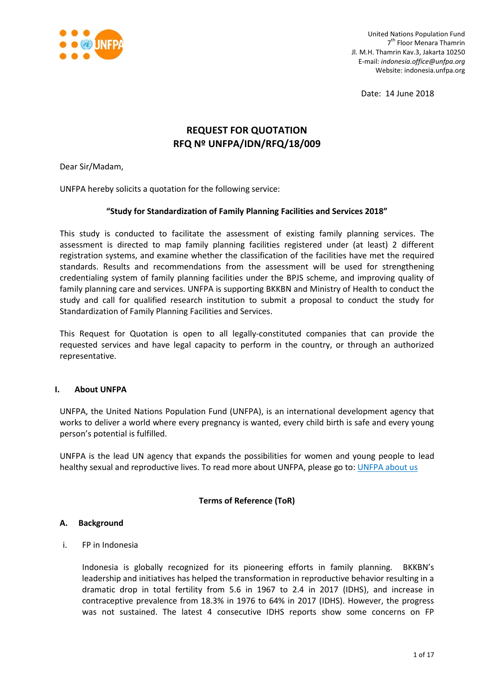

Date: 14 June 2018

# **REQUEST FOR QUOTATION RFQ Nº UNFPA/IDN/RFQ/18/009**

Dear Sir/Madam,

UNFPA hereby solicits a quotation for the following service:

## **"Study for Standardization of Family Planning Facilities and Services 2018"**

This study is conducted to facilitate the assessment of existing family planning services. The assessment is directed to map family planning facilities registered under (at least) 2 different registration systems, and examine whether the classification of the facilities have met the required standards. Results and recommendations from the assessment will be used for strengthening credentialing system of family planning facilities under the BPJS scheme, and improving quality of family planning care and services. UNFPA is supporting BKKBN and Ministry of Health to conduct the study and call for qualified research institution to submit a proposal to conduct the study for Standardization of Family Planning Facilities and Services.

This Request for Quotation is open to all legally-constituted companies that can provide the requested services and have legal capacity to perform in the country, or through an authorized representative.

## **I. About UNFPA**

UNFPA, the United Nations Population Fund (UNFPA), is an international development agency that works to deliver a world where every pregnancy is wanted, every child birth is safe and every young person's potential is fulfilled.

UNFPA is the lead UN agency that expands the possibilities for women and young people to lead healthy sexual and reproductive lives. To read more about UNFPA, please go to: [UNFPA about us](http://www.unfpa.org/about-us)

## **Terms of Reference (ToR)**

#### **A. Background**

i. FP in Indonesia

Indonesia is globally recognized for its pioneering efforts in family planning. BKKBN's leadership and initiatives has helped the transformation in reproductive behavior resulting in a dramatic drop in total fertility from 5.6 in 1967 to 2.4 in 2017 (IDHS), and increase in contraceptive prevalence from 18.3% in 1976 to 64% in 2017 (IDHS). However, the progress was not sustained. The latest 4 consecutive IDHS reports show some concerns on FP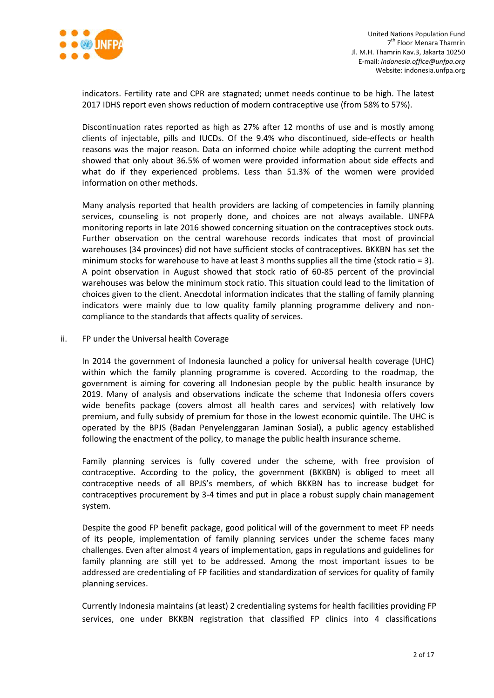

indicators. Fertility rate and CPR are stagnated; unmet needs continue to be high. The latest 2017 IDHS report even shows reduction of modern contraceptive use (from 58% to 57%).

Discontinuation rates reported as high as 27% after 12 months of use and is mostly among clients of injectable, pills and IUCDs. Of the 9.4% who discontinued, side-effects or health reasons was the major reason. Data on informed choice while adopting the current method showed that only about 36.5% of women were provided information about side effects and what do if they experienced problems. Less than 51.3% of the women were provided information on other methods.

Many analysis reported that health providers are lacking of competencies in family planning services, counseling is not properly done, and choices are not always available. UNFPA monitoring reports in late 2016 showed concerning situation on the contraceptives stock outs. Further observation on the central warehouse records indicates that most of provincial warehouses (34 provinces) did not have sufficient stocks of contraceptives. BKKBN has set the minimum stocks for warehouse to have at least 3 months supplies all the time (stock ratio = 3). A point observation in August showed that stock ratio of 60-85 percent of the provincial warehouses was below the minimum stock ratio. This situation could lead to the limitation of choices given to the client. Anecdotal information indicates that the stalling of family planning indicators were mainly due to low quality family planning programme delivery and noncompliance to the standards that affects quality of services.

ii. FP under the Universal health Coverage

In 2014 the government of Indonesia launched a policy for universal health coverage (UHC) within which the family planning programme is covered. According to the roadmap, the government is aiming for covering all Indonesian people by the public health insurance by 2019. Many of analysis and observations indicate the scheme that Indonesia offers covers wide benefits package (covers almost all health cares and services) with relatively low premium, and fully subsidy of premium for those in the lowest economic quintile. The UHC is operated by the BPJS (Badan Penyelenggaran Jaminan Sosial), a public agency established following the enactment of the policy, to manage the public health insurance scheme.

Family planning services is fully covered under the scheme, with free provision of contraceptive. According to the policy, the government (BKKBN) is obliged to meet all contraceptive needs of all BPJS's members, of which BKKBN has to increase budget for contraceptives procurement by 3-4 times and put in place a robust supply chain management system.

Despite the good FP benefit package, good political will of the government to meet FP needs of its people, implementation of family planning services under the scheme faces many challenges. Even after almost 4 years of implementation, gaps in regulations and guidelines for family planning are still yet to be addressed. Among the most important issues to be addressed are credentialing of FP facilities and standardization of services for quality of family planning services.

Currently Indonesia maintains (at least) 2 credentialing systems for health facilities providing FP services, one under BKKBN registration that classified FP clinics into 4 classifications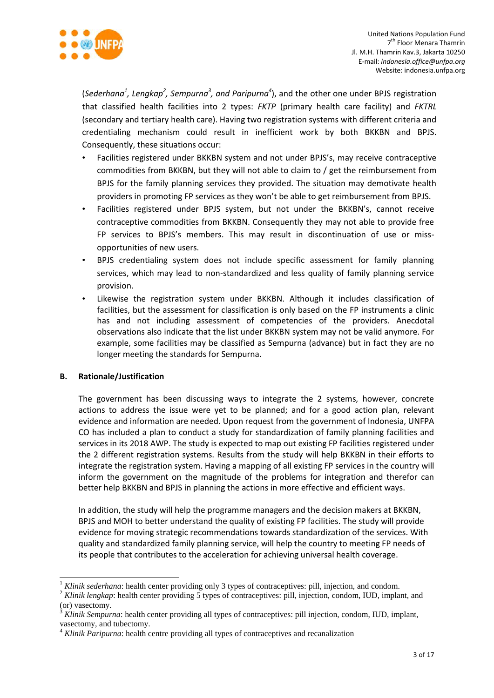

(*Sederhana<sup>1</sup>*, Lengkap<sup>2</sup>, Sempurna<sup>3</sup>, and Paripurna<sup>4</sup>), and the other one under BPJS registration that classified health facilities into 2 types: *FKTP* (primary health care facility) and *FKTRL* (secondary and tertiary health care). Having two registration systems with different criteria and credentialing mechanism could result in inefficient work by both BKKBN and BPJS. Consequently, these situations occur:

- Facilities registered under BKKBN system and not under BPJS's, may receive contraceptive commodities from BKKBN, but they will not able to claim to / get the reimbursement from BPJS for the family planning services they provided. The situation may demotivate health providers in promoting FP services as they won't be able to get reimbursement from BPJS.
- Facilities registered under BPJS system, but not under the BKKBN's, cannot receive contraceptive commodities from BKKBN. Consequently they may not able to provide free FP services to BPJS's members. This may result in discontinuation of use or missopportunities of new users.
- BPJS credentialing system does not include specific assessment for family planning services, which may lead to non-standardized and less quality of family planning service provision.
- Likewise the registration system under BKKBN. Although it includes classification of facilities, but the assessment for classification is only based on the FP instruments a clinic has and not including assessment of competencies of the providers. Anecdotal observations also indicate that the list under BKKBN system may not be valid anymore. For example, some facilities may be classified as Sempurna (advance) but in fact they are no longer meeting the standards for Sempurna.

## **B. Rationale/Justification**

1

The government has been discussing ways to integrate the 2 systems, however, concrete actions to address the issue were yet to be planned; and for a good action plan, relevant evidence and information are needed. Upon request from the government of Indonesia, UNFPA CO has included a plan to conduct a study for standardization of family planning facilities and services in its 2018 AWP. The study is expected to map out existing FP facilities registered under the 2 different registration systems. Results from the study will help BKKBN in their efforts to integrate the registration system. Having a mapping of all existing FP services in the country will inform the government on the magnitude of the problems for integration and therefor can better help BKKBN and BPJS in planning the actions in more effective and efficient ways.

In addition, the study will help the programme managers and the decision makers at BKKBN, BPJS and MOH to better understand the quality of existing FP facilities. The study will provide evidence for moving strategic recommendations towards standardization of the services. With quality and standardized family planning service, will help the country to meeting FP needs of its people that contributes to the acceleration for achieving universal health coverage.

<sup>1</sup> *Klinik sederhana*: health center providing only 3 types of contraceptives: pill, injection, and condom.

<sup>&</sup>lt;sup>2</sup> *Klinik lengkap*: health center providing 5 types of contraceptives: pill, injection, condom, IUD, implant, and (or) vasectomy.

<sup>3</sup> *Klinik Sempurna*: health center providing all types of contraceptives: pill injection, condom, IUD, implant, vasectomy, and tubectomy.

<sup>4</sup> *Klinik Paripurna*: health centre providing all types of contraceptives and recanalization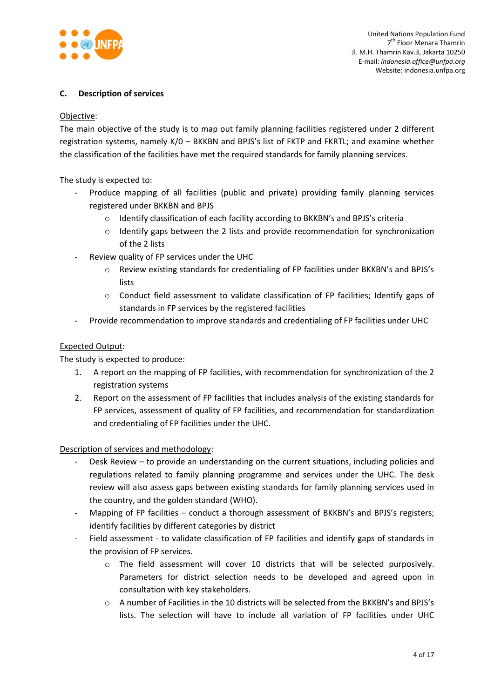

# **C. Description of services**

## Objective:

The main objective of the study is to map out family planning facilities registered under 2 different registration systems, namely K/0 – BKKBN and BPJS's list of FKTP and FKRTL; and examine whether the classification of the facilities have met the required standards for family planning services.

The study is expected to:

- Produce mapping of all facilities (public and private) providing family planning services registered under BKKBN and BPJS
	- o Identify classification of each facility according to BKKBN's and BPJS's criteria
	- o Identify gaps between the 2 lists and provide recommendation for synchronization of the 2 lists
- Review quality of FP services under the UHC
	- o Review existing standards for credentialing of FP facilities under BKKBN's and BPJS's lists
	- $\circ$  Conduct field assessment to validate classification of FP facilities; Identify gaps of standards in FP services by the registered facilities
- Provide recommendation to improve standards and credentialing of FP facilities under UHC

# Expected Output:

The study is expected to produce:

- 1. A report on the mapping of FP facilities, with recommendation for synchronization of the 2 registration systems
- 2. Report on the assessment of FP facilities that includes analysis of the existing standards for FP services, assessment of quality of FP facilities, and recommendation for standardization and credentialing of FP facilities under the UHC.

Description of services and methodology:

- Desk Review to provide an understanding on the current situations, including policies and regulations related to family planning programme and services under the UHC. The desk review will also assess gaps between existing standards for family planning services used in the country, and the golden standard (WHO).
- Mapping of FP facilities conduct a thorough assessment of BKKBN's and BPJS's registers; identify facilities by different categories by district
- Field assessment to validate classification of FP facilities and identify gaps of standards in the provision of FP services.
	- o The field assessment will cover 10 districts that will be selected purposively. Parameters for district selection needs to be developed and agreed upon in consultation with key stakeholders.
	- o A number of Facilities in the 10 districts will be selected from the BKKBN's and BPJS's lists. The selection will have to include all variation of FP facilities under UHC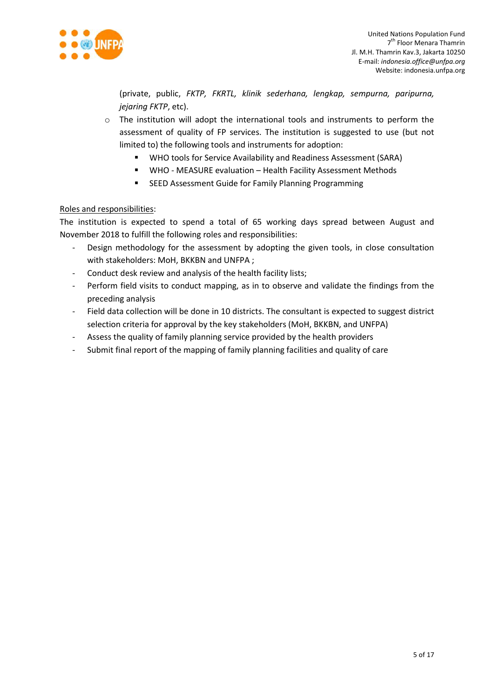

(private, public, *FKTP, FKRTL, klinik sederhana, lengkap, sempurna, paripurna, jejaring FKTP*, etc).

- $\circ$  The institution will adopt the international tools and instruments to perform the assessment of quality of FP services. The institution is suggested to use (but not limited to) the following tools and instruments for adoption:
	- WHO tools for Service Availability and Readiness Assessment (SARA)
	- WHO MEASURE evaluation Health Facility Assessment Methods
	- **EXECO Assessment Guide for Family Planning Programming**

# Roles and responsibilities:

The institution is expected to spend a total of 65 working days spread between August and November 2018 to fulfill the following roles and responsibilities:

- Design methodology for the assessment by adopting the given tools, in close consultation with stakeholders: MoH, BKKBN and UNFPA ;
- Conduct desk review and analysis of the health facility lists;
- Perform field visits to conduct mapping, as in to observe and validate the findings from the preceding analysis
- Field data collection will be done in 10 districts. The consultant is expected to suggest district selection criteria for approval by the key stakeholders (MoH, BKKBN, and UNFPA)
- Assess the quality of family planning service provided by the health providers
- Submit final report of the mapping of family planning facilities and quality of care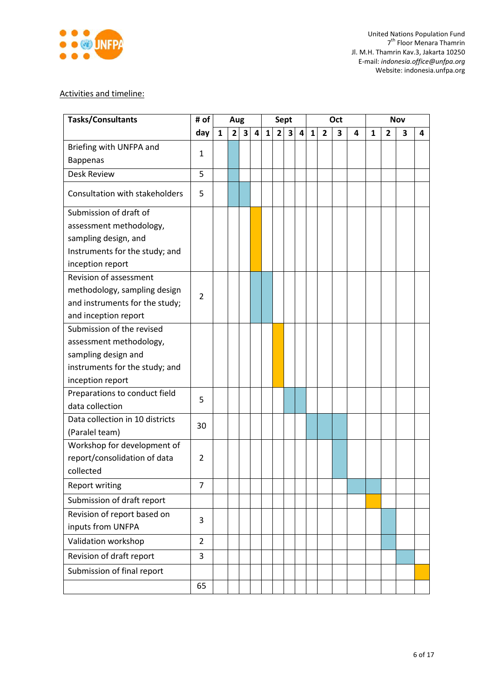

# Activities and timeline:

| <b>Tasks/Consultants</b>        | # of           |   | Aug            |   |   |              | <b>Sept</b>    |                         |   |              |                | Oct |   |   |                | <b>Nov</b> |   |
|---------------------------------|----------------|---|----------------|---|---|--------------|----------------|-------------------------|---|--------------|----------------|-----|---|---|----------------|------------|---|
|                                 | day            | 1 | 2 <sub>l</sub> | 3 | 4 | $\mathbf{1}$ | 2 <sup>1</sup> | $\overline{\mathbf{3}}$ | 4 | $\mathbf{1}$ | $\overline{2}$ | 3   | 4 | 1 | $\overline{2}$ | 3          | 4 |
| Briefing with UNFPA and         |                |   |                |   |   |              |                |                         |   |              |                |     |   |   |                |            |   |
| <b>Bappenas</b>                 | 1              |   |                |   |   |              |                |                         |   |              |                |     |   |   |                |            |   |
| <b>Desk Review</b>              | 5              |   |                |   |   |              |                |                         |   |              |                |     |   |   |                |            |   |
| Consultation with stakeholders  | 5              |   |                |   |   |              |                |                         |   |              |                |     |   |   |                |            |   |
| Submission of draft of          |                |   |                |   |   |              |                |                         |   |              |                |     |   |   |                |            |   |
| assessment methodology,         |                |   |                |   |   |              |                |                         |   |              |                |     |   |   |                |            |   |
| sampling design, and            |                |   |                |   |   |              |                |                         |   |              |                |     |   |   |                |            |   |
| Instruments for the study; and  |                |   |                |   |   |              |                |                         |   |              |                |     |   |   |                |            |   |
| inception report                |                |   |                |   |   |              |                |                         |   |              |                |     |   |   |                |            |   |
| Revision of assessment          |                |   |                |   |   |              |                |                         |   |              |                |     |   |   |                |            |   |
| methodology, sampling design    | $\overline{2}$ |   |                |   |   |              |                |                         |   |              |                |     |   |   |                |            |   |
| and instruments for the study;  |                |   |                |   |   |              |                |                         |   |              |                |     |   |   |                |            |   |
| and inception report            |                |   |                |   |   |              |                |                         |   |              |                |     |   |   |                |            |   |
| Submission of the revised       |                |   |                |   |   |              |                |                         |   |              |                |     |   |   |                |            |   |
| assessment methodology,         |                |   |                |   |   |              |                |                         |   |              |                |     |   |   |                |            |   |
| sampling design and             |                |   |                |   |   |              |                |                         |   |              |                |     |   |   |                |            |   |
| instruments for the study; and  |                |   |                |   |   |              |                |                         |   |              |                |     |   |   |                |            |   |
| inception report                |                |   |                |   |   |              |                |                         |   |              |                |     |   |   |                |            |   |
| Preparations to conduct field   | 5              |   |                |   |   |              |                |                         |   |              |                |     |   |   |                |            |   |
| data collection                 |                |   |                |   |   |              |                |                         |   |              |                |     |   |   |                |            |   |
| Data collection in 10 districts | 30             |   |                |   |   |              |                |                         |   |              |                |     |   |   |                |            |   |
| (Paralel team)                  |                |   |                |   |   |              |                |                         |   |              |                |     |   |   |                |            |   |
| Workshop for development of     |                |   |                |   |   |              |                |                         |   |              |                |     |   |   |                |            |   |
| report/consolidation of data    | $\overline{2}$ |   |                |   |   |              |                |                         |   |              |                |     |   |   |                |            |   |
| collected                       |                |   |                |   |   |              |                |                         |   |              |                |     |   |   |                |            |   |
| <b>Report writing</b>           | $\overline{7}$ |   |                |   |   |              |                |                         |   |              |                |     |   |   |                |            |   |
| Submission of draft report      |                |   |                |   |   |              |                |                         |   |              |                |     |   |   |                |            |   |
| Revision of report based on     | 3              |   |                |   |   |              |                |                         |   |              |                |     |   |   |                |            |   |
| inputs from UNFPA               |                |   |                |   |   |              |                |                         |   |              |                |     |   |   |                |            |   |
| Validation workshop             | $\overline{2}$ |   |                |   |   |              |                |                         |   |              |                |     |   |   |                |            |   |
| Revision of draft report        | 3              |   |                |   |   |              |                |                         |   |              |                |     |   |   |                |            |   |
| Submission of final report      |                |   |                |   |   |              |                |                         |   |              |                |     |   |   |                |            |   |
|                                 | 65             |   |                |   |   |              |                |                         |   |              |                |     |   |   |                |            |   |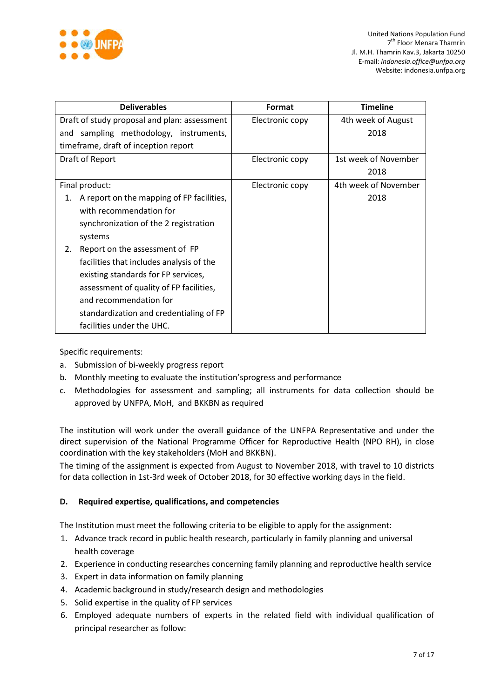

| <b>Deliverables</b>                             | Format          | <b>Timeline</b>      |
|-------------------------------------------------|-----------------|----------------------|
| Draft of study proposal and plan: assessment    | Electronic copy | 4th week of August   |
| and sampling methodology, instruments,          |                 | 2018                 |
| timeframe, draft of inception report            |                 |                      |
| Draft of Report                                 | Electronic copy | 1st week of November |
|                                                 |                 | 2018                 |
| Final product:                                  | Electronic copy | 4th week of November |
| A report on the mapping of FP facilities,<br>1. |                 | 2018                 |
| with recommendation for                         |                 |                      |
| synchronization of the 2 registration           |                 |                      |
| systems                                         |                 |                      |
| Report on the assessment of FP<br>2.            |                 |                      |
| facilities that includes analysis of the        |                 |                      |
| existing standards for FP services,             |                 |                      |
| assessment of quality of FP facilities,         |                 |                      |
| and recommendation for                          |                 |                      |
| standardization and credentialing of FP         |                 |                      |
| facilities under the UHC.                       |                 |                      |

Specific requirements:

- a. Submission of bi-weekly progress report
- b. Monthly meeting to evaluate the institution'sprogress and performance
- c. Methodologies for assessment and sampling; all instruments for data collection should be approved by UNFPA, MoH, and BKKBN as required

The institution will work under the overall guidance of the UNFPA Representative and under the direct supervision of the National Programme Officer for Reproductive Health (NPO RH), in close coordination with the key stakeholders (MoH and BKKBN).

The timing of the assignment is expected from August to November 2018, with travel to 10 districts for data collection in 1st-3rd week of October 2018, for 30 effective working days in the field.

# **D. Required expertise, qualifications, and competencies**

The Institution must meet the following criteria to be eligible to apply for the assignment:

- 1. Advance track record in public health research, particularly in family planning and universal health coverage
- 2. Experience in conducting researches concerning family planning and reproductive health service
- 3. Expert in data information on family planning
- 4. Academic background in study/research design and methodologies
- 5. Solid expertise in the quality of FP services
- 6. Employed adequate numbers of experts in the related field with individual qualification of principal researcher as follow: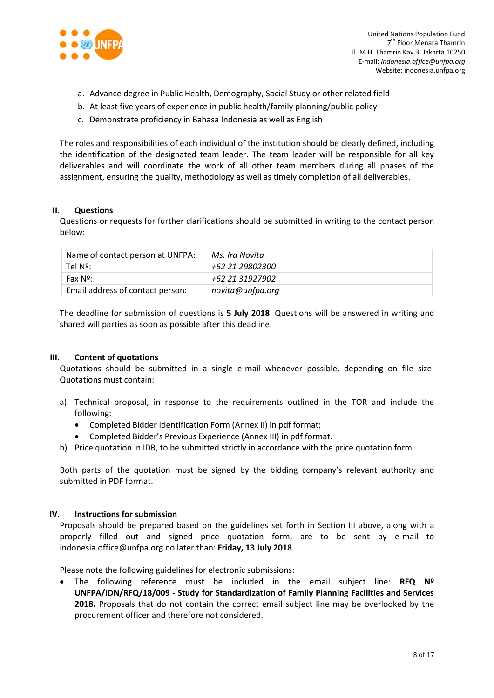

- a. Advance degree in Public Health, Demography, Social Study or other related field
- b. At least five years of experience in public health/family planning/public policy
- c. Demonstrate proficiency in Bahasa Indonesia as well as English

The roles and responsibilities of each individual of the institution should be clearly defined, including the identification of the designated team leader. The team leader will be responsible for all key deliverables and will coordinate the work of all other team members during all phases of the assignment, ensuring the quality, methodology as well as timely completion of all deliverables.

#### **II. Questions**

Questions or requests for further clarifications should be submitted in writing to the contact person below:

| Name of contact person at UNFPA: | Ms. Ira Novita   |
|----------------------------------|------------------|
| Tel Nº:                          | +62 21 29802300  |
| Fax Nº:                          | +62 21 31927902  |
| Email address of contact person: | novita@unfpa.org |

The deadline for submission of questions is **5 July 2018**. Questions will be answered in writing and shared will parties as soon as possible after this deadline.

## **III. Content of quotations**

Quotations should be submitted in a single e-mail whenever possible, depending on file size. Quotations must contain:

- a) Technical proposal, in response to the requirements outlined in the TOR and include the following:
	- Completed Bidder Identification Form (Annex II) in pdf format;
	- Completed Bidder's Previous Experience (Annex III) in pdf format.
- b) Price quotation in IDR, to be submitted strictly in accordance with the price quotation form.

Both parts of the quotation must be signed by the bidding company's relevant authority and submitted in PDF format.

## **IV. Instructions for submission**

Proposals should be prepared based on the guidelines set forth in Section III above, along with a properly filled out and signed price quotation form, are to be sent by e-mail to indonesia.office@unfpa.org no later than: **Friday, 13 July 2018**.

Please note the following guidelines for electronic submissions:

 The following reference must be included in the email subject line: **RFQ Nº UNFPA/IDN/RFQ/18/009 - Study for Standardization of Family Planning Facilities and Services 2018.** Proposals that do not contain the correct email subject line may be overlooked by the procurement officer and therefore not considered.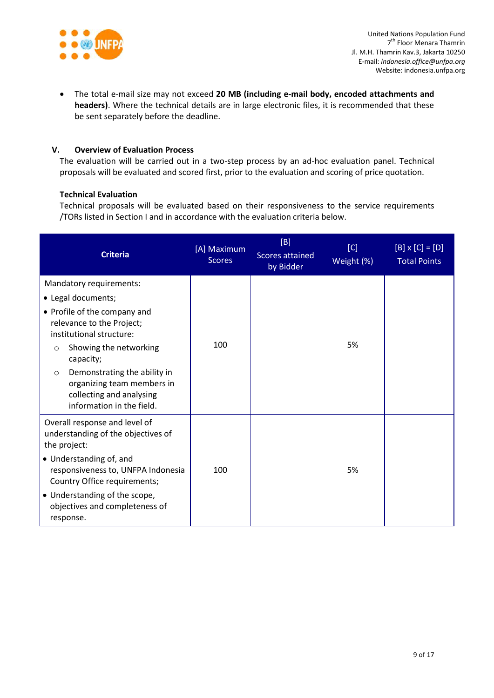

 The total e-mail size may not exceed **20 MB (including e-mail body, encoded attachments and headers)**. Where the technical details are in large electronic files, it is recommended that these be sent separately before the deadline.

# **V. Overview of Evaluation Process**

The evaluation will be carried out in a two-step process by an ad-hoc evaluation panel. Technical proposals will be evaluated and scored first, prior to the evaluation and scoring of price quotation.

#### **Technical Evaluation**

Technical proposals will be evaluated based on their responsiveness to the service requirements /TORs listed in Section I and in accordance with the evaluation criteria below.

| <b>Criteria</b>                                                                                                                | [A] Maximum<br><b>Scores</b> | [B]<br>Scores attained<br>by Bidder | [C]<br>Weight (%) | $[B] \times [C] = [D]$<br><b>Total Points</b> |
|--------------------------------------------------------------------------------------------------------------------------------|------------------------------|-------------------------------------|-------------------|-----------------------------------------------|
| Mandatory requirements:                                                                                                        |                              |                                     |                   |                                               |
| • Legal documents;                                                                                                             |                              |                                     |                   |                                               |
| • Profile of the company and<br>relevance to the Project;<br>institutional structure:<br>Showing the networking                | 100                          |                                     | 5%                |                                               |
| $\circ$<br>capacity;                                                                                                           |                              |                                     |                   |                                               |
| Demonstrating the ability in<br>$\circ$<br>organizing team members in<br>collecting and analysing<br>information in the field. |                              |                                     |                   |                                               |
| Overall response and level of<br>understanding of the objectives of<br>the project:                                            |                              |                                     |                   |                                               |
| • Understanding of, and<br>responsiveness to, UNFPA Indonesia<br>Country Office requirements;                                  | 100                          |                                     | 5%                |                                               |
| • Understanding of the scope,<br>objectives and completeness of<br>response.                                                   |                              |                                     |                   |                                               |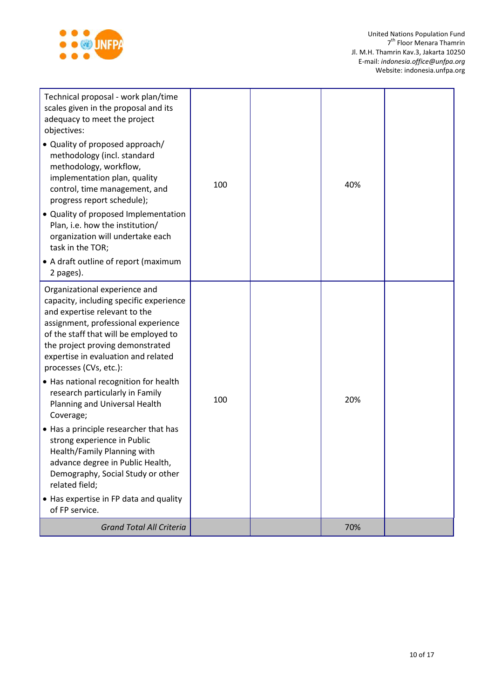

| Technical proposal - work plan/time<br>scales given in the proposal and its<br>adequacy to meet the project<br>objectives:<br>• Quality of proposed approach/<br>methodology (incl. standard<br>methodology, workflow,<br>implementation plan, quality<br>control, time management, and<br>progress report schedule);<br>• Quality of proposed Implementation<br>Plan, i.e. how the institution/<br>organization will undertake each<br>task in the TOR;<br>• A draft outline of report (maximum<br>2 pages).                                                                                                                                                                          | 100 | 40% |  |
|----------------------------------------------------------------------------------------------------------------------------------------------------------------------------------------------------------------------------------------------------------------------------------------------------------------------------------------------------------------------------------------------------------------------------------------------------------------------------------------------------------------------------------------------------------------------------------------------------------------------------------------------------------------------------------------|-----|-----|--|
| Organizational experience and<br>capacity, including specific experience<br>and expertise relevant to the<br>assignment, professional experience<br>of the staff that will be employed to<br>the project proving demonstrated<br>expertise in evaluation and related<br>processes (CVs, etc.):<br>• Has national recognition for health<br>research particularly in Family<br>Planning and Universal Health<br>Coverage;<br>• Has a principle researcher that has<br>strong experience in Public<br>Health/Family Planning with<br>advance degree in Public Health,<br>Demography, Social Study or other<br>related field;<br>• Has expertise in FP data and quality<br>of FP service. | 100 | 20% |  |
| <b>Grand Total All Criteria</b>                                                                                                                                                                                                                                                                                                                                                                                                                                                                                                                                                                                                                                                        |     | 70% |  |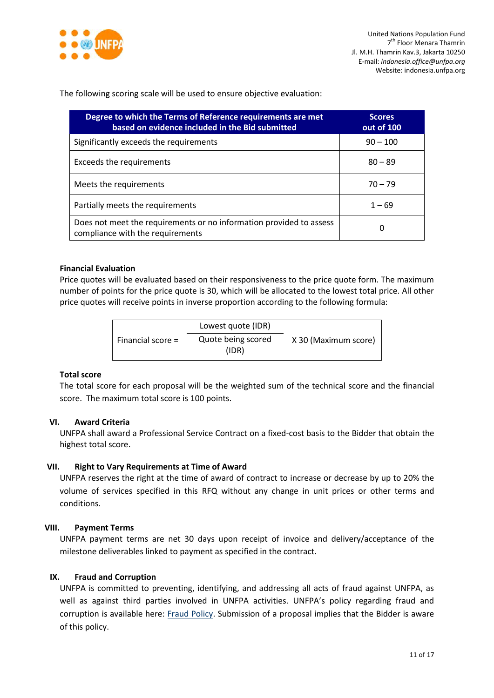

The following scoring scale will be used to ensure objective evaluation:

| Degree to which the Terms of Reference requirements are met<br>based on evidence included in the Bid submitted | <b>Scores</b><br>out of 100 |
|----------------------------------------------------------------------------------------------------------------|-----------------------------|
| Significantly exceeds the requirements                                                                         | $90 - 100$                  |
| Exceeds the requirements                                                                                       | $80 - 89$                   |
| Meets the requirements                                                                                         | $70 - 79$                   |
| Partially meets the requirements                                                                               | $1 - 69$                    |
| Does not meet the requirements or no information provided to assess<br>compliance with the requirements        | 0                           |

# **Financial Evaluation**

Price quotes will be evaluated based on their responsiveness to the price quote form. The maximum number of points for the price quote is 30, which will be allocated to the lowest total price. All other price quotes will receive points in inverse proportion according to the following formula:

|                     | Lowest quote (IDR)          |                      |
|---------------------|-----------------------------|----------------------|
| Financial score $=$ | Quote being scored<br>(IDR) | X 30 (Maximum score) |

#### **Total score**

The total score for each proposal will be the weighted sum of the technical score and the financial score. The maximum total score is 100 points.

# **VI. Award Criteria**

UNFPA shall award a Professional Service Contract on a fixed-cost basis to the Bidder that obtain the highest total score.

## **VII. Right to Vary Requirements at Time of Award**

UNFPA reserves the right at the time of award of contract to increase or decrease by up to 20% the volume of services specified in this RFQ without any change in unit prices or other terms and conditions.

#### **VIII. Payment Terms**

UNFPA payment terms are net 30 days upon receipt of invoice and delivery/acceptance of the milestone deliverables linked to payment as specified in the contract.

#### **IX. [Fraud and Corruption](http://www.unfpa.org/about-procurement#FraudCorruption)**

UNFPA is committed to preventing, identifying, and addressing all acts of fraud against UNFPA, as well as against third parties involved in UNFPA activities. UNFPA's policy regarding fraud and corruption is available here: [Fraud Policy.](http://www.unfpa.org/resources/fraud-policy-2009#overlay-context=node/10356/draft) Submission of a proposal implies that the Bidder is aware of this policy.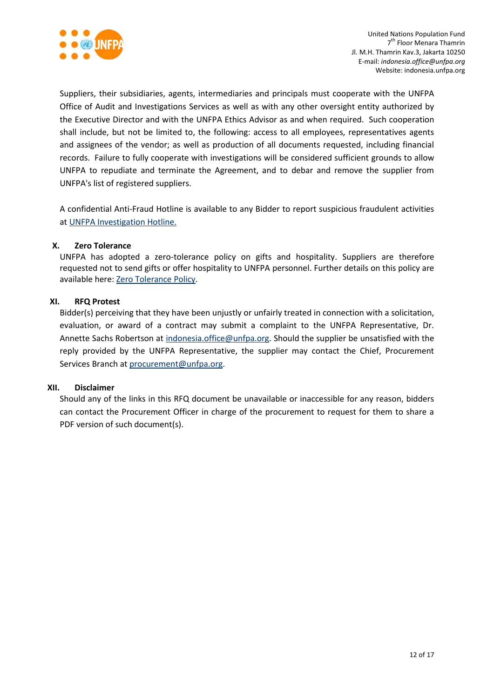

Suppliers, their subsidiaries, agents, intermediaries and principals must cooperate with the UNFPA Office of Audit and Investigations Services as well as with any other oversight entity authorized by the Executive Director and with the UNFPA Ethics Advisor as and when required. Such cooperation shall include, but not be limited to, the following: access to all employees, representatives agents and assignees of the vendor; as well as production of all documents requested, including financial records. Failure to fully cooperate with investigations will be considered sufficient grounds to allow UNFPA to repudiate and terminate the Agreement, and to debar and remove the supplier from UNFPA's list of registered suppliers.

A confidential Anti-Fraud Hotline is available to any Bidder to report suspicious fraudulent activities a[t UNFPA Investigation Hotline.](http://web2.unfpa.org/help/hotline.cfm)

## **X. Zero Tolerance**

UNFPA has adopted a zero-tolerance policy on gifts and hospitality. Suppliers are therefore requested not to send gifts or offer hospitality to UNFPA personnel. Further details on this policy are available here: [Zero Tolerance Policy.](http://www.unfpa.org/about-procurement#ZeroTolerance)

# **XI. RFQ Protest**

Bidder(s) perceiving that they have been unjustly or unfairly treated in connection with a solicitation, evaluation, or award of a contract may submit a complaint to the UNFPA Representative, Dr. Annette Sachs Robertson at [indonesia.office@unfpa.org.](mailto:indonesia.office@unfpa.org) Should the supplier be unsatisfied with the reply provided by the UNFPA Representative, the supplier may contact the Chief, Procurement Services Branch at [procurement@unfpa.org.](mailto:procurement@unfpa.org)

## **XII. Disclaimer**

Should any of the links in this RFQ document be unavailable or inaccessible for any reason, bidders can contact the Procurement Officer in charge of the procurement to request for them to share a PDF version of such document(s).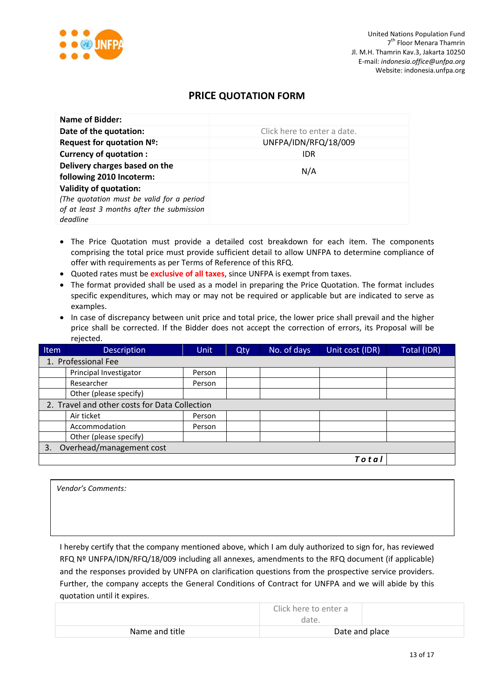

# **PRICE QUOTATION FORM**

| Name of Bidder:                                                                                                                     |                             |
|-------------------------------------------------------------------------------------------------------------------------------------|-----------------------------|
| Date of the quotation:                                                                                                              | Click here to enter a date. |
| Request for quotation Nº:                                                                                                           | UNFPA/IDN/RFQ/18/009        |
| <b>Currency of quotation:</b>                                                                                                       | <b>IDR</b>                  |
| Delivery charges based on the<br>following 2010 Incoterm:                                                                           | N/A                         |
| <b>Validity of quotation:</b><br>(The quotation must be valid for a period<br>of at least 3 months after the submission<br>deadline |                             |

- The Price Quotation must provide a detailed cost breakdown for each item. The components comprising the total price must provide sufficient detail to allow UNFPA to determine compliance of offer with requirements as per Terms of Reference of this RFQ.
- Quoted rates must be **exclusive of all taxes**, since UNFPA is exempt from taxes.
- The format provided shall be used as a model in preparing the Price Quotation. The format includes specific expenditures, which may or may not be required or applicable but are indicated to serve as examples.
- In case of discrepancy between unit price and total price, the lower price shall prevail and the higher price shall be corrected. If the Bidder does not accept the correction of errors, its Proposal will be rejected.

| Item | <b>Description</b>                            | <b>Unit</b> | Qty | No. of days | Unit cost (IDR) | Total (IDR) |  |
|------|-----------------------------------------------|-------------|-----|-------------|-----------------|-------------|--|
|      | 1. Professional Fee                           |             |     |             |                 |             |  |
|      | Principal Investigator                        | Person      |     |             |                 |             |  |
|      | Researcher                                    | Person      |     |             |                 |             |  |
|      | Other (please specify)                        |             |     |             |                 |             |  |
|      | 2. Travel and other costs for Data Collection |             |     |             |                 |             |  |
|      | Air ticket                                    | Person      |     |             |                 |             |  |
|      | Accommodation                                 | Person      |     |             |                 |             |  |
|      | Other (please specify)                        |             |     |             |                 |             |  |
| 3.   | Overhead/management cost                      |             |     |             |                 |             |  |
|      |                                               |             |     |             | Total           |             |  |

I hereby certify that the company mentioned above, which I am duly authorized to sign for, has reviewed RFQ Nº UNFPA/IDN/RFQ/18/009 including all annexes, amendments to the RFQ document (if applicable) *Vendor's Comments:*

and the responses provided by UNFPA on clarification questions from the prospective service providers. Further, the company accepts the General Conditions of Contract for UNFPA and we will abide by this quotation until it expires.

|                | Click here to enter a<br>date. |  |
|----------------|--------------------------------|--|
| Name and title | Date and place                 |  |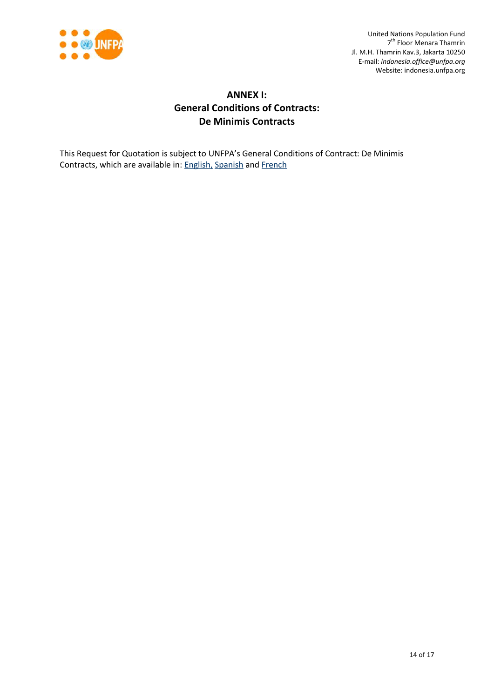

# **ANNEX I: General Conditions of Contracts: De Minimis Contracts**

This Request for Quotation is subject to UNFPA's General Conditions of Contract: De Minimis Contracts, which are available in: [English,](http://www.unfpa.org/resources/unfpa-general-conditions-de-minimis-contracts) [Spanish](http://www.unfpa.org/sites/default/files/resource-pdf/UNFPA%20General%20Conditions%20-%20De%20Minimis%20Contracts%20SP_0.pdf) and [French](http://www.unfpa.org/sites/default/files/resource-pdf/UNFPA%20General%20Conditions%20-%20De%20Minimis%20Contracts%20FR_0.pdf)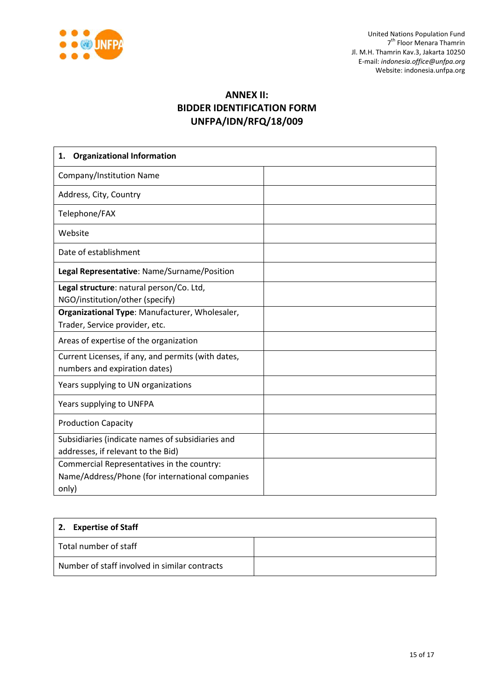

# **ANNEX II: BIDDER IDENTIFICATION FORM UNFPA/IDN/RFQ/18/009**

| <b>Organizational Information</b><br>1.                                                                |  |
|--------------------------------------------------------------------------------------------------------|--|
| Company/Institution Name                                                                               |  |
| Address, City, Country                                                                                 |  |
| Telephone/FAX                                                                                          |  |
| Website                                                                                                |  |
| Date of establishment                                                                                  |  |
| Legal Representative: Name/Surname/Position                                                            |  |
| Legal structure: natural person/Co. Ltd,<br>NGO/institution/other (specify)                            |  |
| Organizational Type: Manufacturer, Wholesaler,<br>Trader, Service provider, etc.                       |  |
| Areas of expertise of the organization                                                                 |  |
| Current Licenses, if any, and permits (with dates,<br>numbers and expiration dates)                    |  |
| Years supplying to UN organizations                                                                    |  |
| Years supplying to UNFPA                                                                               |  |
| <b>Production Capacity</b>                                                                             |  |
| Subsidiaries (indicate names of subsidiaries and<br>addresses, if relevant to the Bid)                 |  |
| Commercial Representatives in the country:<br>Name/Address/Phone (for international companies<br>only) |  |

| 2. Expertise of Staff                         |  |
|-----------------------------------------------|--|
| Total number of staff                         |  |
| Number of staff involved in similar contracts |  |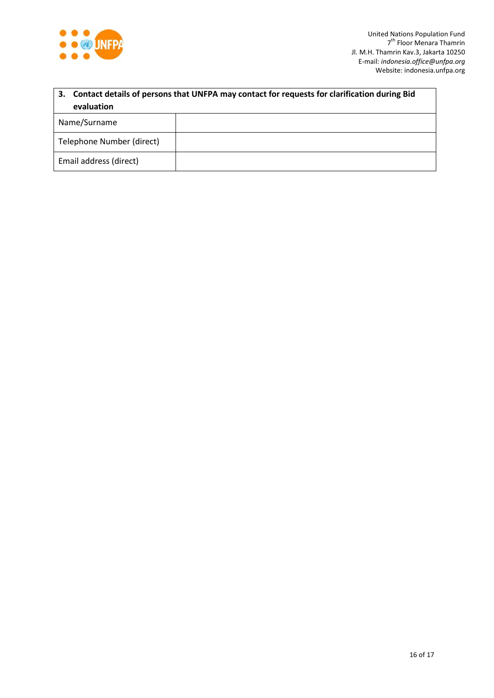

| 3. Contact details of persons that UNFPA may contact for requests for clarification during Bid |  |  |  |  |  |  |
|------------------------------------------------------------------------------------------------|--|--|--|--|--|--|
| evaluation                                                                                     |  |  |  |  |  |  |
| Name/Surname                                                                                   |  |  |  |  |  |  |
| Telephone Number (direct)                                                                      |  |  |  |  |  |  |
| Email address (direct)                                                                         |  |  |  |  |  |  |